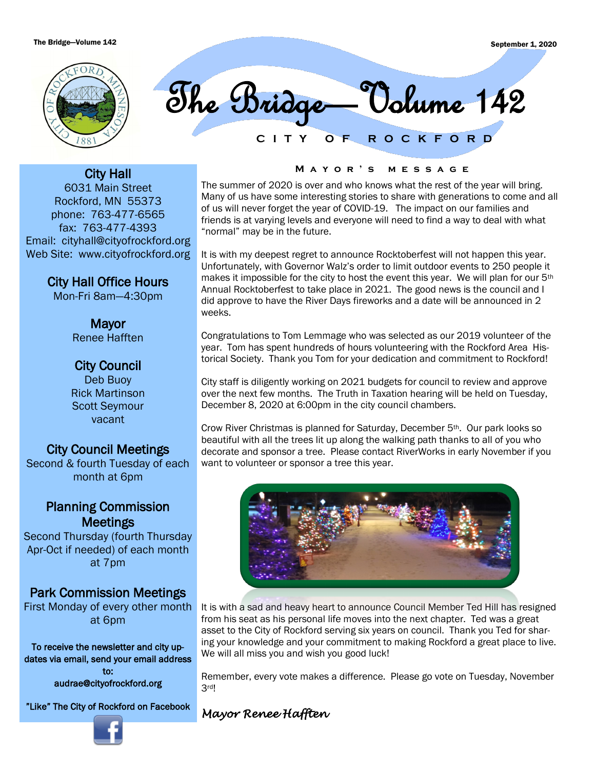

**C I T Y O F R O C K F O R D** The Bridge—Volume 142

City Hall 6031 Main Street Rockford, MN 55373 phone: 763-477-6565 fax: 763-477-4393 Email: cityhall@cityofrockford.org Web Site: www.cityofrockford.org

> City Hall Office Hours Mon-Fri 8am—4:30pm

Mayor Renee Hafften

# City Council

Deb Buoy Rick Martinson Scott Seymour vacant

# City Council Meetings

Second & fourth Tuesday of each month at 6pm

# Planning Commission **Meetings**

Second Thursday (fourth Thursday Apr-Oct if needed) of each month at 7pm

# Park Commission Meetings

First Monday of every other month at 6pm

To receive the newsletter and city updates via email, send your email address to:

audrae@cityofrockford.org

"Like" The City of Rockford on Facebook

#### **M a y o r ' s m e s s a g e**

The summer of 2020 is over and who knows what the rest of the year will bring. Many of us have some interesting stories to share with generations to come and all of us will never forget the year of COVID-19. The impact on our families and friends is at varying levels and everyone will need to find a way to deal with what "normal" may be in the future.

It is with my deepest regret to announce Rocktoberfest will not happen this year. Unfortunately, with Governor Walz's order to limit outdoor events to 250 people it makes it impossible for the city to host the event this year. We will plan for our 5th Annual Rocktoberfest to take place in 2021. The good news is the council and I did approve to have the River Days fireworks and a date will be announced in 2 weeks.

Congratulations to Tom Lemmage who was selected as our 2019 volunteer of the year. Tom has spent hundreds of hours volunteering with the Rockford Area Historical Society. Thank you Tom for your dedication and commitment to Rockford!

City staff is diligently working on 2021 budgets for council to review and approve over the next few months. The Truth in Taxation hearing will be held on Tuesday, December 8, 2020 at 6:00pm in the city council chambers.

Crow River Christmas is planned for Saturday, December 5th. Our park looks so beautiful with all the trees lit up along the walking path thanks to all of you who decorate and sponsor a tree. Please contact RiverWorks in early November if you want to volunteer or sponsor a tree this year.



It is with a sad and heavy heart to announce Council Member Ted Hill has resigned from his seat as his personal life moves into the next chapter. Ted was a great asset to the City of Rockford serving six years on council. Thank you Ted for sharing your knowledge and your commitment to making Rockford a great place to live. We will all miss you and wish you good luck!

Remember, every vote makes a difference. Please go vote on Tuesday, November 3rd!

## *Mayor Renee Hafften*

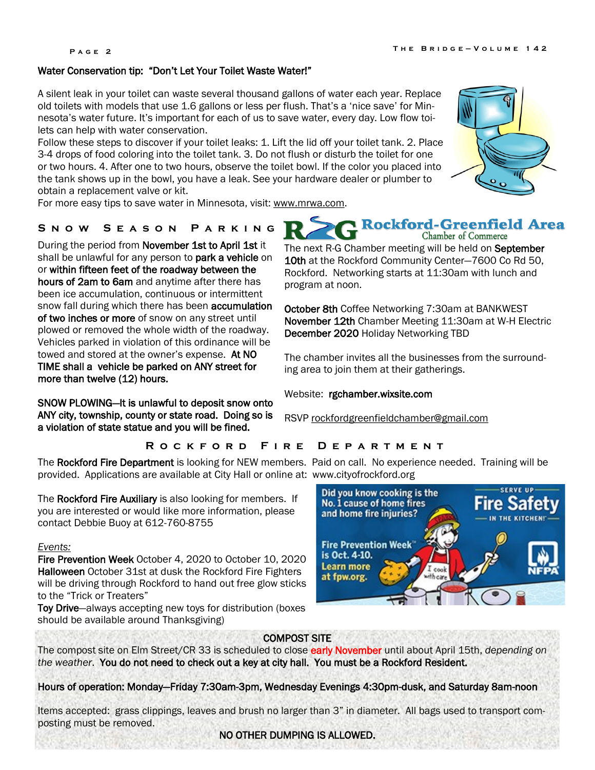#### Water Conservation tip: "Don't Let Your Toilet Waste Water!"

A silent leak in your toilet can waste several thousand gallons of water each year. Replace old toilets with models that use 1.6 gallons or less per flush. That's a 'nice save' for Minnesota's water future. It's important for each of us to save water, every day. Low flow toilets can help with water conservation.

Follow these steps to discover if your toilet leaks: 1. Lift the lid off your toilet tank. 2. Place 3-4 drops of food coloring into the toilet tank. 3. Do not flush or disturb the toilet for one or two hours. 4. After one to two hours, observe the toilet bowl. If the color you placed into the tank shows up in the bowl, you have a leak. See your hardware dealer or plumber to obtain a replacement valve or kit.

For more easy tips to save water in Minnesota, visit: [www.mrwa.com.](http://www.mrwa.com)

### **S n o w S e a s o n P a r k i n g**

During the period from November 1st to April 1st it shall be unlawful for any person to park a vehicle on or within fifteen feet of the roadway between the hours of 2am to 6am and anytime after there has been ice accumulation, continuous or intermittent snow fall during which there has been **accumulation** of two inches or more of snow on any street until plowed or removed the whole width of the roadway. Vehicles parked in violation of this ordinance will be towed and stored at the owner's expense. At NO TIME shall a vehicle be parked on ANY street for more than twelve (12) hours.

SNOW PLOWING—It is unlawful to deposit snow onto ANY city, township, county or state road. Doing so is a violation of state statue and you will be fined.

Chamber of Commerce The next R-G Chamber meeting will be held on September 10th at the Rockford Community Center-7600 Co Rd 50,

Rockford-Greenfield Area

Rockford. Networking starts at 11:30am with lunch and program at noon.

October 8th Coffee Networking 7:30am at BANKWEST November 12th Chamber Meeting 11:30am at W-H Electric December 2020 Holiday Networking TBD

The chamber invites all the businesses from the surrounding area to join them at their gatherings.

Website: rgchamber.wixsite.com

RSVP [rockfordgreenfieldchamber@gmail.com](mailto:rockfordgreenfieldchamber@gmail.com)

## **R o c k f o r d F i r e D e p a r t m e n t**

The Rockford Fire Department is looking for NEW members. Paid on call. No experience needed. Training will be provided. Applications are available at City Hall or online at: www.cityofrockford.org

The Rockford Fire Auxiliary is also looking for members. If you are interested or would like more information, please contact Debbie Buoy at 612-760-8755

#### *Events:*

Fire Prevention Week October 4, 2020 to October 10, 2020 Halloween October 31st at dusk the Rockford Fire Fighters will be driving through Rockford to hand out free glow sticks to the "Trick or Treaters"

Toy Drive—always accepting new toys for distribution (boxes should be available around Thanksgiving)



### COMPOST SITE

The compost site on Elm Street/CR 33 is scheduled to close early November until about April 15th, *depending on the weather*. You do not need to check out a key at city hall. You must be a Rockford Resident.

Hours of operation: Monday—Friday 7:30am-3pm, Wednesday Evenings 4:30pm-dusk, and Saturday 8am-noon

Items accepted: grass clippings, leaves and brush no larger than 3" in diameter. All bags used to transport composting must be removed.



NO OTHER DUMPING IS ALLOWED.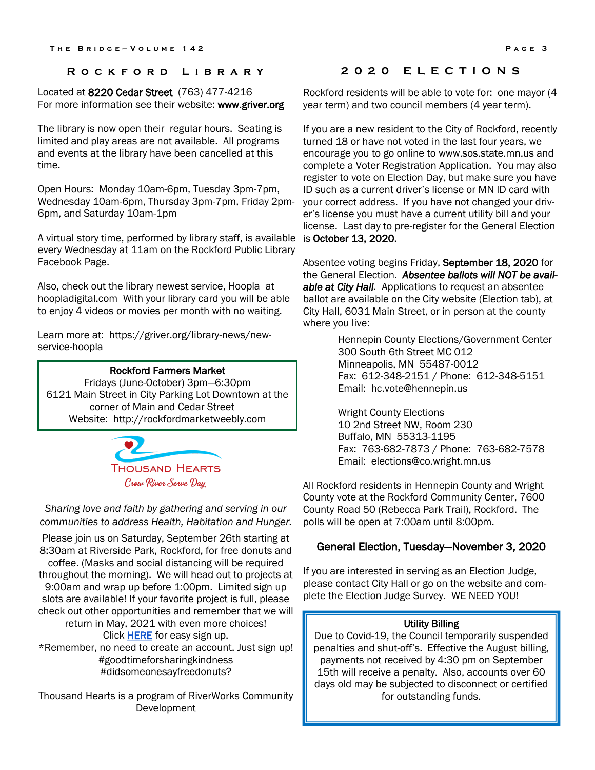#### **R o c k f o r d L i b r a r y**

Located at 8220 Cedar Street (763) 477-4216 For more information see their website: www.griver.org

The library is now open their regular hours. Seating is limited and play areas are not available. All programs and events at the library have been cancelled at this time.

Open Hours: Monday 10am-6pm, Tuesday 3pm-7pm, Wednesday 10am-6pm, Thursday 3pm-7pm, Friday 2pm-6pm, and Saturday 10am-1pm

A virtual story time, performed by library staff, is available every Wednesday at 11am on the Rockford Public Library Facebook Page.

Also, check out the library newest service, Hoopla at hoopladigital.com With your library card you will be able to enjoy 4 videos or movies per month with no waiting.

Learn more at: https://griver.org/library-news/newservice-hoopla

#### Rockford Farmers Market

Fridays (June-October) 3pm—6:30pm 6121 Main Street in City Parking Lot Downtown at the corner of Main and Cedar Street Website: http://rockfordmarketweebly.com



*Sharing love and faith by gathering and serving in our communities to address Health, Habitation and Hunger.*

Please join us on Saturday, September 26th starting at 8:30am at Riverside Park, Rockford, for free donuts and coffee. (Masks and social distancing will be required throughout the morning). We will head out to projects at 9:00am and wrap up before 1:00pm. Limited sign up slots are available! If your favorite project is full, please check out other opportunities and remember that we will return in May, 2021 with even more choices!

Click [HERE f](https://www.signupgenius.com/go/10C0B4EAFA623A3FB6-8thannual)or easy sign up.

\*Remember, no need to create an account. Just sign up! #goodtimeforsharingkindness #didsomeonesayfreedonuts?

Thousand Hearts is a program of RiverWorks Community Development

## **2 0 2 0 E L E C T I O N S**

Rockford residents will be able to vote for: one mayor (4 year term) and two council members (4 year term).

If you are a new resident to the City of Rockford, recently turned 18 or have not voted in the last four years, we encourage you to go online to www.sos.state.mn.us and complete a Voter Registration Application. You may also register to vote on Election Day, but make sure you have ID such as a current driver's license or MN ID card with your correct address. If you have not changed your driver's license you must have a current utility bill and your license. Last day to pre-register for the General Election is October 13, 2020.

Absentee voting begins Friday, September 18, 2020 for the General Election. *Absentee ballots will NOT be available at City Hall.* Applications to request an absentee ballot are available on the City website (Election tab), at City Hall, 6031 Main Street, or in person at the county where you live:

> Hennepin County Elections/Government Center 300 South 6th Street MC 012 Minneapolis, MN 55487-0012 Fax: 612-348-2151 / Phone: 612-348-5151 Email: hc.vote@hennepin.us

Wright County Elections 10 2nd Street NW, Room 230 Buffalo, MN 55313-1195 Fax: 763-682-7873 / Phone: 763-682-7578 Email: elections@co.wright.mn.us

All Rockford residents in Hennepin County and Wright County vote at the Rockford Community Center, 7600 County Road 50 (Rebecca Park Trail), Rockford. The polls will be open at 7:00am until 8:00pm.

#### General Election, Tuesday—November 3, 2020

If you are interested in serving as an Election Judge, please contact City Hall or go on the website and complete the Election Judge Survey. WE NEED YOU!

#### Utility Billing

Due to Covid-19, the Council temporarily suspended penalties and shut-off's. Effective the August billing, payments not received by 4:30 pm on September 15th will receive a penalty. Also, accounts over 60 days old may be subjected to disconnect or certified for outstanding funds.